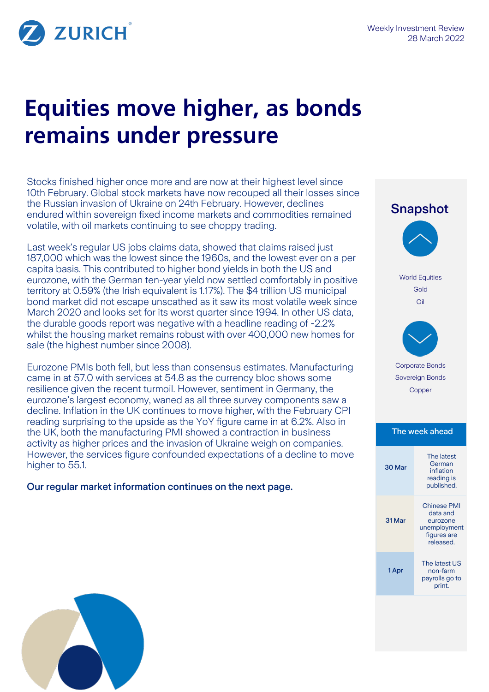

# **Equities move higher, as bonds remains under pressure**

Stocks finished higher once more and are now at their highest level since 10th February. Global stock markets have now recouped all their losses since the Russian invasion of Ukraine on 24th February. However, declines endured within sovereign fixed income markets and commodities remained volatile, with oil markets continuing to see choppy trading.

Last week's regular US jobs claims data, showed that claims raised just 187,000 which was the lowest since the 1960s, and the lowest ever on a per capita basis. This contributed to higher bond yields in both the US and eurozone, with the German ten-year yield now settled comfortably in positive territory at 0.59% (the Irish equivalent is 1.17%). The \$4 trillion US municipal bond market did not escape unscathed as it saw its most volatile week since March 2020 and looks set for its worst quarter since 1994. In other US data, the durable goods report was negative with a headline reading of -2.2% whilst the housing market remains robust with over 400,000 new homes for sale (the highest number since 2008).

Eurozone PMIs both fell, but less than consensus estimates. Manufacturing came in at 57.0 with services at 54.8 as the currency bloc shows some resilience given the recent turmoil. However, sentiment in Germany, the eurozone's largest economy, waned as all three survey components saw a decline. Inflation in the UK continues to move higher, with the February CPI reading surprising to the upside as the YoY figure came in at 6.2%. Also in the UK, both the manufacturing PMI showed a contraction in business activity as higher prices and the invasion of Ukraine weigh on companies. However, the services figure confounded expectations of a decline to move higher to 55.1.

Our regular market information continues on the next page.